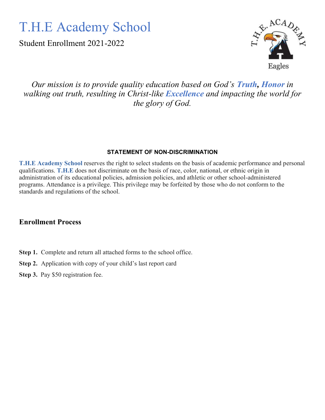# T.H.E Academy School

Student Enrollment 2021-2022



# *Our mission is to provide quality education based on God's Truth, Honor in walking out truth, resulting in Christ-like Excellence and impacting the world for the glory of God.*

### **STATEMENT OF NON-DISCRIMINATION**

**T.H.E Academy School** reserves the right to select students on the basis of academic performance and personal qualifications. **T.H.E** does not discriminate on the basis of race, color, national, or ethnic origin in administration of its educational policies, admission policies, and athletic or other school-administered programs. Attendance is a privilege. This privilege may be forfeited by those who do not conform to the standards and regulations of the school.

# **Enrollment Process**

- **Step 1.** Complete and return all attached forms to the school office.
- **Step 2.** Application with copy of your child's last report card
- **Step 3.** Pay \$50 registration fee.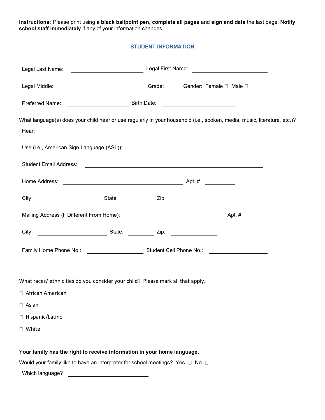**Instructions:** Please print using **a black ballpoint pen**, **complete all pages** and **sign and date** the last page. **Notify school staff immediately** if any of your information changes.

#### **STUDENT INFORMATION**

| What language(s) does your child hear or use regularly in your household (i.e., spoken, media, music, literature, etc.)?<br>Hear:<br><u> 1990 - Jan James James Barnett, amerikan bahasa ing kabupatèn Barnett Barnett di Barnett Barnett di Barnett B</u> |  |  |
|------------------------------------------------------------------------------------------------------------------------------------------------------------------------------------------------------------------------------------------------------------|--|--|
|                                                                                                                                                                                                                                                            |  |  |
|                                                                                                                                                                                                                                                            |  |  |
|                                                                                                                                                                                                                                                            |  |  |
|                                                                                                                                                                                                                                                            |  |  |
|                                                                                                                                                                                                                                                            |  |  |
|                                                                                                                                                                                                                                                            |  |  |
|                                                                                                                                                                                                                                                            |  |  |
| What races/ ethnicities do you consider your child? Please mark all that apply.                                                                                                                                                                            |  |  |
| □ African American                                                                                                                                                                                                                                         |  |  |
| $\Box$ Asian                                                                                                                                                                                                                                               |  |  |
| □ Hispanic/Latino                                                                                                                                                                                                                                          |  |  |
| □ White                                                                                                                                                                                                                                                    |  |  |
| Your family has the right to receive information in your home language.                                                                                                                                                                                    |  |  |
| Would your family like to have an interpreter for school meetings? Yes $\Box$ No $\Box$<br>Which language? Which language?                                                                                                                                 |  |  |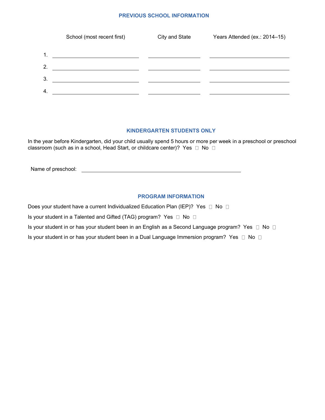#### **PREVIOUS SCHOOL INFORMATION**

|    | School (most recent first) | City and State | Years Attended (ex.: 2014-15) |
|----|----------------------------|----------------|-------------------------------|
| 1. |                            |                |                               |
| 2. |                            |                |                               |
| 3. |                            |                |                               |
| 4. |                            |                |                               |

#### **KINDERGARTEN STUDENTS ONLY**

In the year before Kindergarten, did your child usually spend 5 hours or more per week in a preschool or preschool classroom (such as in a school, Head Start, or childcare center)? Yes  $\Box$  No  $\Box$ 

Name of preschool:

#### **PROGRAM INFORMATION**

Does your student have a current Individualized Education Plan (IEP)? Yes  $\Box$  No  $\Box$ 

Is your student in a Talented and Gifted (TAG) program? Yes  $\Box$  No  $\Box$ 

Is your student in or has your student been in an English as a Second Language program? Yes  $\Box$  No  $\Box$ 

Is your student in or has your student been in a Dual Language Immersion program? Yes  $\Box$  No  $\Box$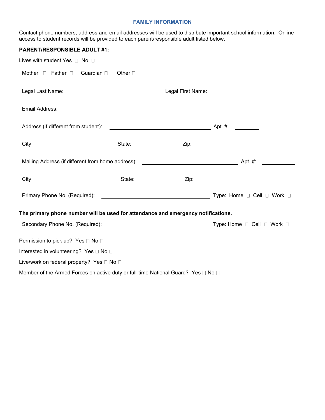#### **FAMILY INFORMATION**

Contact phone numbers, address and email addresses will be used to distribute important school information. Online access to student records will be provided to each parent/responsible adult listed below.

| <b>PARENT/RESPONSIBLE ADULT #1:</b>                                               |                                                                                                                       |  |
|-----------------------------------------------------------------------------------|-----------------------------------------------------------------------------------------------------------------------|--|
| Lives with student Yes $\Box$ No $\Box$                                           |                                                                                                                       |  |
|                                                                                   |                                                                                                                       |  |
|                                                                                   |                                                                                                                       |  |
| Email Address:                                                                    | <u> 1989 - Johann Harry Harry Harry Harry Harry Harry Harry Harry Harry Harry Harry Harry Harry Harry Harry Harry</u> |  |
|                                                                                   |                                                                                                                       |  |
|                                                                                   |                                                                                                                       |  |
|                                                                                   |                                                                                                                       |  |
|                                                                                   |                                                                                                                       |  |
|                                                                                   |                                                                                                                       |  |
| The primary phone number will be used for attendance and emergency notifications. |                                                                                                                       |  |
|                                                                                   |                                                                                                                       |  |
| Permission to pick up? Yes □ No □                                                 |                                                                                                                       |  |
| Interested in volunteering? Yes □ No □                                            |                                                                                                                       |  |
| Live/work on federal property? Yes □ No □                                         |                                                                                                                       |  |
| Member of the Armed Forces on active duty or full-time National Guard? Yes □ No □ |                                                                                                                       |  |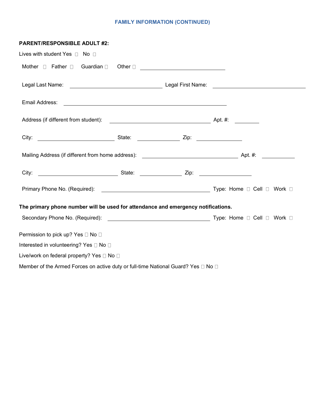## **FAMILY INFORMATION (CONTINUED)**

| <b>PARENT/RESPONSIBLE ADULT #2:</b>                                                         |                                                                                                                       |  |
|---------------------------------------------------------------------------------------------|-----------------------------------------------------------------------------------------------------------------------|--|
| Lives with student Yes $\Box$ No $\Box$                                                     |                                                                                                                       |  |
|                                                                                             |                                                                                                                       |  |
|                                                                                             |                                                                                                                       |  |
| Email Address:                                                                              | <u> 1989 - Johann Harry Harry Harry Harry Harry Harry Harry Harry Harry Harry Harry Harry Harry Harry Harry Harry</u> |  |
|                                                                                             |                                                                                                                       |  |
|                                                                                             |                                                                                                                       |  |
|                                                                                             |                                                                                                                       |  |
|                                                                                             |                                                                                                                       |  |
|                                                                                             |                                                                                                                       |  |
| The primary phone number will be used for attendance and emergency notifications.           |                                                                                                                       |  |
|                                                                                             |                                                                                                                       |  |
| Permission to pick up? Yes □ No □                                                           |                                                                                                                       |  |
| Interested in volunteering? Yes □ No □                                                      |                                                                                                                       |  |
| Live/work on federal property? Yes □ No □                                                   |                                                                                                                       |  |
| Member of the Armed Forces on active duty or full-time National Guard? Yes $\Box$ No $\Box$ |                                                                                                                       |  |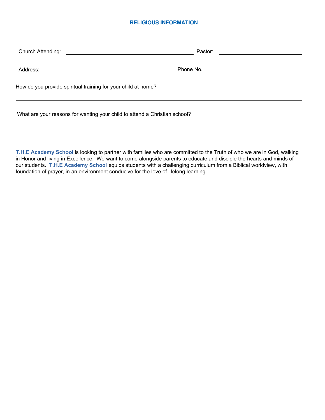#### **RELIGIOUS INFORMATION**

| Church Attending:                                                          | Pastor:                                      |  |
|----------------------------------------------------------------------------|----------------------------------------------|--|
| <u> 1986 - Johann Barnett, fransk politik (d. 1986)</u>                    |                                              |  |
| Address:                                                                   | Phone No.                                    |  |
|                                                                            | <u> 1980 - Jan Samuel Barbara, politik e</u> |  |
| How do you provide spiritual training for your child at home?              |                                              |  |
| What are your reasons for wanting your child to attend a Christian school? |                                              |  |

**T.H.E Academy School** is looking to partner with families who are committed to the Truth of who we are in God, walking in Honor and living in Excellence. We want to come alongside parents to educate and disciple the hearts and minds of our students. **T.H.E Academy School** equips students with a challenging curriculum from a Biblical worldview, with foundation of prayer, in an environment conducive for the love of lifelong learning.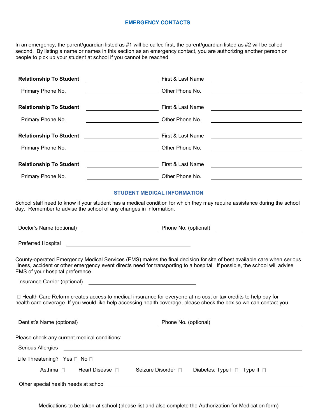#### **EMERGENCY CONTACTS**

In an emergency, the parent/guardian listed as #1 will be called first, the parent/guardian listed as #2 will be called second. By listing a name or names in this section as an emergency contact, you are authorizing another person or people to pick up your student at school if you cannot be reached.

| <b>Relationship To Student</b> | First & Last Name<br><u> 1989 - Johann Barn, mars ann an t-Amhain an t-Amhain an t-Amhain an t-Amhain an t-Amhain an t-Amhain an t-Amh</u> |  |
|--------------------------------|--------------------------------------------------------------------------------------------------------------------------------------------|--|
| Primary Phone No.              | Other Phone No.<br><u> 1989 - Johann Barn, mars eta bainar eta idazlea (</u>                                                               |  |
| <b>Relationship To Student</b> | First & Last Name<br><u> The Communication of the Communication of the Communication of the Communication of the Communication of</u>      |  |
| Primary Phone No.              | Other Phone No.<br><u> 1989 - Johann Stoff, deutscher Stoffen und der Stoffen und der Stoffen und der Stoffen und der Stoffen und der</u>  |  |
| <b>Relationship To Student</b> | First & Last Name<br><u> 1989 - Andrea Barbara, poeta espainiar político e a contrar a contrar a contrar a contrar a contrar a con</u>     |  |
| Primary Phone No.              | Other Phone No.                                                                                                                            |  |
| <b>Relationship To Student</b> | First & Last Name                                                                                                                          |  |
| Primary Phone No.              | Other Phone No.                                                                                                                            |  |

#### **STUDENT MEDICAL INFORMATION**

School staff need to know if your student has a medical condition for which they may require assistance during the school day. Remember to advise the school of any changes in information.

|                                                                                                                | Phone No. (optional) <b>Example 2</b> and 2 and 2 and 2 and 2 and 2 and 2 and 2 and 2 and 2 and 2 and 2 and 2 and 2 and 2 and 2 and 2 and 2 and 2 and 2 and 2 and 2 and 2 and 2 and 2 and 2 and 2 and 2 and 2 and 2 and 2 and 2 and                   |
|----------------------------------------------------------------------------------------------------------------|-------------------------------------------------------------------------------------------------------------------------------------------------------------------------------------------------------------------------------------------------------|
| Preferred Hospital and The Communication of the Communication of the Communication of the Communication of the |                                                                                                                                                                                                                                                       |
| EMS of your hospital preference.                                                                               | County-operated Emergency Medical Services (EMS) makes the final decision for site of best available care when serious<br>illness, accident or other emergency event directs need for transporting to a hospital. If possible, the school will advise |
|                                                                                                                |                                                                                                                                                                                                                                                       |
|                                                                                                                | □ Health Care Reform creates access to medical insurance for everyone at no cost or tax credits to help pay for<br>health care coverage. If you would like help accessing health coverage, please check the box so we can contact you.                |
| Dentist's Name (optional) Dentist's Name (optional)                                                            | Phone No. (optional) example the state of the state of the state of the state of the state of the state of the state of the state of the state of the state of the state of the state of the state of the state of the state o                        |
| Please check any current medical conditions:                                                                   |                                                                                                                                                                                                                                                       |
|                                                                                                                |                                                                                                                                                                                                                                                       |
| Life Threatening? Yes $\Box$ No $\Box$                                                                         |                                                                                                                                                                                                                                                       |
| Asthma $\square$<br>Heart Disease D                                                                            | Seizure Disorder □<br>Diabetes: Type $I \square$ Type $II \square$                                                                                                                                                                                    |
|                                                                                                                |                                                                                                                                                                                                                                                       |

Other special health needs at school

Medications to be taken at school (please list and also complete the Authorization for Medication form)